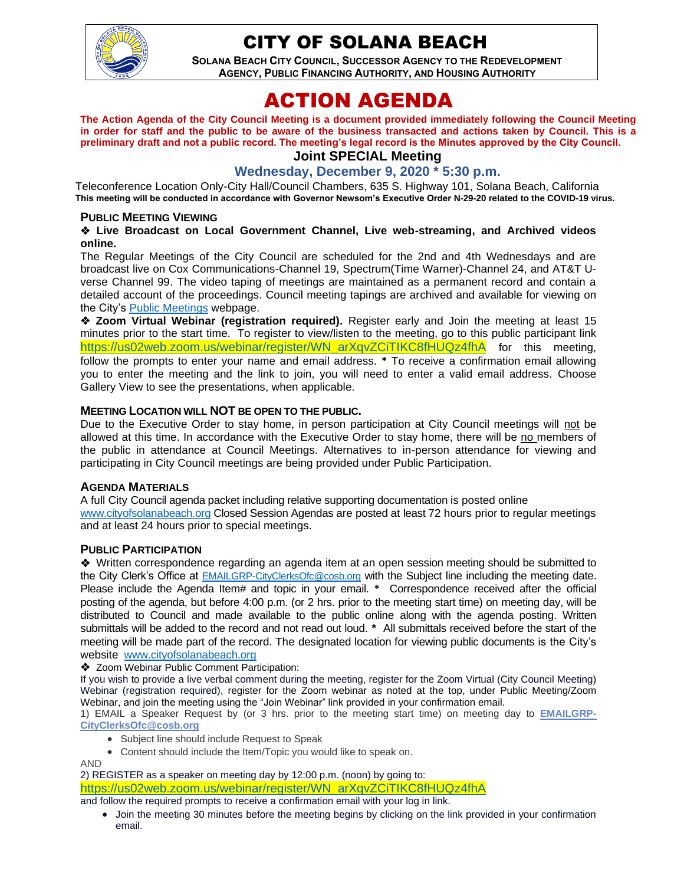

## CITY OF SOLANA BEACH

**SOLANA BEACH CITY COUNCIL, SUCCESSOR AGENCY TO THE REDEVELOPMENT AGENCY, PUBLIC FINANCING AUTHORITY, AND HOUSING AUTHORITY** 

# ACTION AGENDA

**The Action Agenda of the City Council Meeting is a document provided immediately following the Council Meeting in order for staff and the public to be aware of the business transacted and actions taken by Council. This is a preliminary draft and not a public record. The meeting's legal record is the Minutes approved by the City Council.**

## **Joint SPECIAL Meeting**

**Wednesday, December 9, 2020 \* 5:30 p.m.**

Teleconference Location Only-City Hall/Council Chambers, 635 S. Highway 101, Solana Beach, California **This meeting will be conducted in accordance with Governor Newsom's Executive Order N-29-20 related to the COVID-19 virus.**

#### **PUBLIC MEETING VIEWING**

#### ❖ **Live Broadcast on Local Government Channel, Live web-streaming, and Archived videos online.**

The Regular Meetings of the City Council are scheduled for the 2nd and 4th Wednesdays and are broadcast live on Cox Communications-Channel 19, Spectrum(Time Warner)-Channel 24, and AT&T Uverse Channel 99. The video taping of meetings are maintained as a permanent record and contain a detailed account of the proceedings. Council meeting tapings are archived and available for viewing on the City's **Public Meetings** webpage.

❖ **Zoom Virtual Webinar (registration required).** Register early and Join the meeting at least 15 minutes prior to the start time. To register to view/listen to the meeting, go to this public participant link [https://us02web.zoom.us/webinar/register/WN\\_arXqvZCiTIKC8fHUQz4fhA](https://us02web.zoom.us/webinar/register/WN_arXqvZCiTIKC8fHUQz4fhA) for this meeting, follow the prompts to enter your name and email address. **\*** To receive a confirmation email allowing you to enter the meeting and the link to join, you will need to enter a valid email address. Choose Gallery View to see the presentations, when applicable.

#### **MEETING LOCATION WILL NOT BE OPEN TO THE PUBLIC.**

Due to the Executive Order to stay home, in person participation at City Council meetings will not be allowed at this time. In accordance with the Executive Order to stay home, there will be no members of the public in attendance at Council Meetings. Alternatives to in-person attendance for viewing and participating in City Council meetings are being provided under Public Participation.

#### **AGENDA MATERIALS**

A full City Council agenda packet including relative supporting documentation is posted online [www.cityofsolanabeach.org](http://www.cityofsolanabeach.org/) Closed Session Agendas are posted at least 72 hours prior to regular meetings and at least 24 hours prior to special meetings.

#### **PUBLIC PARTICIPATION**

❖Written correspondence regarding an agenda item at an open session meeting should be submitted to the City Clerk's Office at [EMAILGRP-CityClerksOfc@cosb.org](mailto:EMAILGRP-CityClerksOfc@cosb.org) with the Subject line including the meeting date. Please include the Agenda Item# and topic in your email. **\*** Correspondence received after the official posting of the agenda, but before 4:00 p.m. (or 2 hrs. prior to the meeting start time) on meeting day, will be distributed to Council and made available to the public online along with the agenda posting. Written submittals will be added to the record and not read out loud. **\*** All submittals received before the start of the meeting will be made part of the record. The designated location for viewing public documents is the City's website [www.cityofsolanabeach.org](http://www.cityofsolanabeach.org/)

❖ Zoom Webinar Public Comment Participation:

If you wish to provide a live verbal comment during the meeting, register for the Zoom Virtual (City Council Meeting) Webinar (registration required), register for the Zoom webinar as noted at the top, under Public Meeting/Zoom Webinar, and join the meeting using the "Join Webinar" link provided in your confirmation email.

1) EMAIL a Speaker Request by (or 3 hrs. prior to the meeting start time) on meeting day to **[EMAILGRP-](mailto:EMAILGRP-CityClerksOfc@cosb.org)[CityClerksOfc@cosb.org](mailto:EMAILGRP-CityClerksOfc@cosb.org)**

- Subject line should include Request to Speak
- Content should include the Item/Topic you would like to speak on.

AND

2) REGISTER as a speaker on meeting day by 12:00 p.m. (noon) by going to: [https://us02web.zoom.us/webinar/register/WN\\_arXqvZCiTIKC8fHUQz4fhA](https://us02web.zoom.us/webinar/register/WN_arXqvZCiTIKC8fHUQz4fhA)

- and follow the required prompts to receive a confirmation email with your log in link.
	- Join the meeting 30 minutes before the meeting begins by clicking on the link provided in your confirmation email.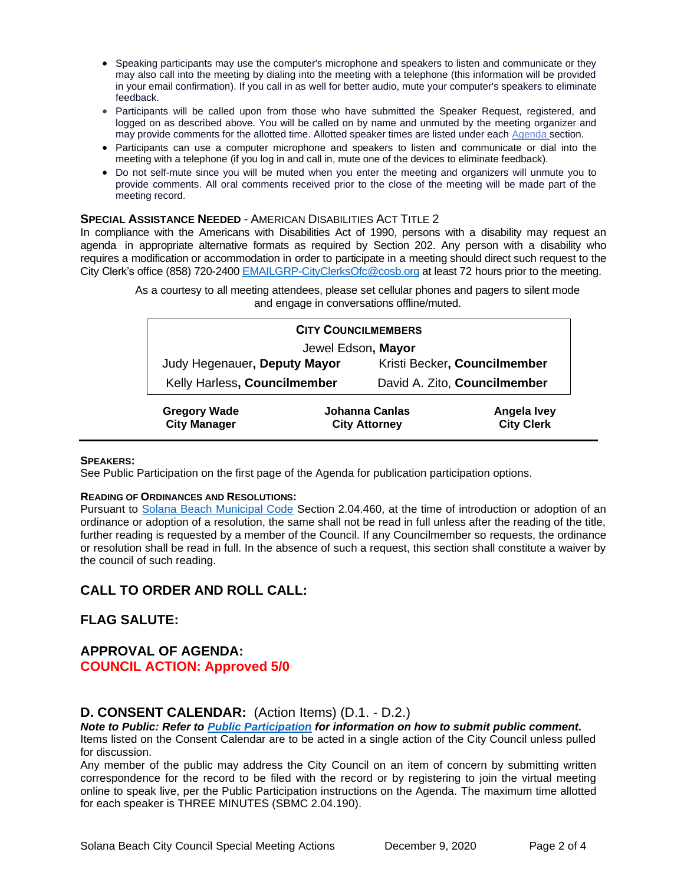- Speaking participants may use the computer's microphone and speakers to listen and communicate or they may also call into the meeting by dialing into the meeting with a telephone (this information will be provided in your email confirmation). If you call in as well for better audio, mute your computer's speakers to eliminate feedback.
- Participants will be called upon from those who have submitted the Speaker Request, registered, and logged on as described above. You will be called on by name and unmuted by the meeting organizer and may provide comments for the allotted time. Allotted speaker times are listed under each [Agenda s](https://urldefense.proofpoint.com/v2/url?u=https-3A__www.ci.solana-2Dbeach.ca.us_index.asp-3FSEC-3DF0F1200D-2D21C6-2D4A88-2D8AE1-2D0BC07C1A81A7-26Type-3DB-5FBASIC&d=DwMFaQ&c=euGZstcaTDllvimEN8b7jXrwqOf-v5A_CdpgnVfiiMM&r=1XAsCUuqwK_tji2t0s1uIQ&m=C7WzXfOw2_nkEFMJClT55zZsF4tmIf_7KTn0o1WpYqI&s=3DcsWExM2_nx_xpvFtXslUjphiXd0MDCCF18y_Qy5yU&e=)ection.
- Participants can use a computer microphone and speakers to listen and communicate or dial into the meeting with a telephone (if you log in and call in, mute one of the devices to eliminate feedback).
- Do not self-mute since you will be muted when you enter the meeting and organizers will unmute you to provide comments. All oral comments received prior to the close of the meeting will be made part of the meeting record.

#### **SPECIAL ASSISTANCE NEEDED** - AMERICAN DISABILITIES ACT TITLE 2

In compliance with the Americans with Disabilities Act of 1990, persons with a disability may request an agenda in appropriate alternative formats as required by Section 202. Any person with a disability who requires a modification or accommodation in order to participate in a meeting should direct such request to the City Clerk's office (858) 720-2400 [EMAILGRP-CityClerksOfc@cosb.org](mailto:EMAILGRP-CityClerksOfc@cosb.org) at least 72 hours prior to the meeting.

|                                            |                                        | <b>CITY COUNCILMEMBERS</b>   |                                         |
|--------------------------------------------|----------------------------------------|------------------------------|-----------------------------------------|
|                                            |                                        | Jewel Edson, Mayor           |                                         |
| Judy Hegenauer, Deputy Mayor               |                                        | Kristi Becker, Councilmember |                                         |
| Kelly Harless, Councilmember               |                                        | David A. Zito, Councilmember |                                         |
| <b>Gregory Wade</b><br><b>City Manager</b> | Johanna Canlas<br><b>City Attorney</b> |                              | <b>Angela Ivey</b><br><b>City Clerk</b> |

#### As a courtesy to all meeting attendees, please set cellular phones and pagers to silent mode and engage in conversations offline/muted.

#### **SPEAKERS:**

See Public Participation on the first page of the Agenda for publication participation options.

#### **READING OF ORDINANCES AND RESOLUTIONS:**

Pursuant to [Solana Beach Municipal Code](mailto:https://www.codepublishing.com/CA/SolanaBeach/) Section 2.04.460, at the time of introduction or adoption of an ordinance or adoption of a resolution, the same shall not be read in full unless after the reading of the title, further reading is requested by a member of the Council. If any Councilmember so requests, the ordinance or resolution shall be read in full. In the absence of such a request, this section shall constitute a waiver by the council of such reading.

## **CALL TO ORDER AND ROLL CALL:**

## **FLAG SALUTE:**

## **APPROVAL OF AGENDA: COUNCIL ACTION: Approved 5/0**

## **D. CONSENT CALENDAR:** (Action Items) (D.1. - D.2.)

*Note to Public: Refer to Public Participation for information on how to submit public comment.*  Items listed on the Consent Calendar are to be acted in a single action of the City Council unless pulled for discussion.

Any member of the public may address the City Council on an item of concern by submitting written correspondence for the record to be filed with the record or by registering to join the virtual meeting online to speak live, per the Public Participation instructions on the Agenda. The maximum time allotted for each speaker is THREE MINUTES (SBMC 2.04.190).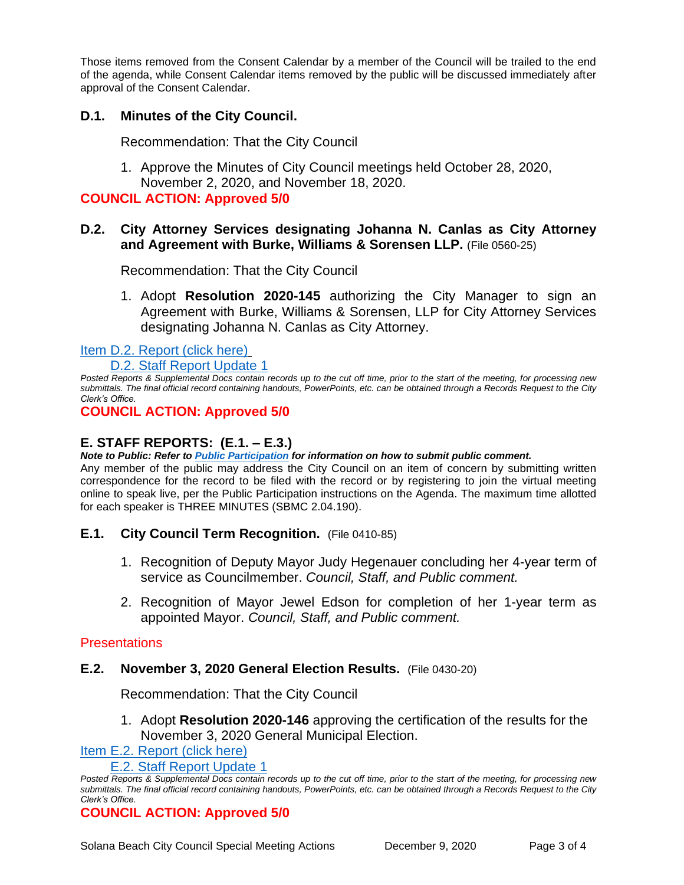Those items removed from the Consent Calendar by a member of the Council will be trailed to the end of the agenda, while Consent Calendar items removed by the public will be discussed immediately after approval of the Consent Calendar.

## **D.1. Minutes of the City Council.**

Recommendation: That the City Council

1. Approve the Minutes of City Council meetings held October 28, 2020, November 2, 2020, and November 18, 2020.

#### **COUNCIL ACTION: Approved 5/0**

## **D.2. City Attorney Services designating Johanna N. Canlas as City Attorney and Agreement with Burke, Williams & Sorensen LLP.** (File 0560-25)

Recommendation: That the City Council

1. Adopt **Resolution 2020-145** authorizing the City Manager to sign an Agreement with Burke, Williams & Sorensen, LLP for City Attorney Services designating Johanna N. Canlas as City Attorney.

[Item D.2. Report \(click here\)](https://solanabeach.govoffice3.com/vertical/Sites/%7B840804C2-F869-4904-9AE3-720581350CE7%7D/uploads/Item_D.2._Report_(click_here)_12-09-20_-_O.pdf)

D.2. Staff [Report Update 1](https://solanabeach.govoffice3.com/vertical/Sites/%7B840804C2-F869-4904-9AE3-720581350CE7%7D/uploads/D.2._Staff_Report_Update_1_-_O.pdf)

*Posted Reports & Supplemental Docs contain records up to the cut off time, prior to the start of the meeting, for processing new submittals. The final official record containing handouts, PowerPoints, etc. can be obtained through a Records Request to the City Clerk's Office.*

## **COUNCIL ACTION: Approved 5/0**

## **E. STAFF REPORTS: (E.1. – E.3.)**

*Note to Public: Refer to Public Participation for information on how to submit public comment.* 

Any member of the public may address the City Council on an item of concern by submitting written correspondence for the record to be filed with the record or by registering to join the virtual meeting online to speak live, per the Public Participation instructions on the Agenda. The maximum time allotted for each speaker is THREE MINUTES (SBMC 2.04.190).

## **E.1. City Council Term Recognition.** (File 0410-85)

- 1. Recognition of Deputy Mayor Judy Hegenauer concluding her 4-year term of service as Councilmember. *Council, Staff, and Public comment.*
- 2. Recognition of Mayor Jewel Edson for completion of her 1-year term as appointed Mayor. *Council, Staff, and Public comment.*

## **Presentations**

#### **E.2. November 3, 2020 General Election Results.** (File 0430-20)

Recommendation: That the City Council

1. Adopt **Resolution 2020-146** approving the certification of the results for the November 3, 2020 General Municipal Election.

[Item E.2. Report](https://solanabeach.govoffice3.com/vertical/Sites/%7B840804C2-F869-4904-9AE3-720581350CE7%7D/uploads/Item_E.2._Report_(click_here)_12-09-20_-_O.pdf) (click here)

E.2. Staff [Report Update 1](https://solanabeach.govoffice3.com/vertical/Sites/%7B840804C2-F869-4904-9AE3-720581350CE7%7D/uploads/E.2._Staff_Report_Update_1_-_O.pdf)

## **COUNCIL ACTION: Approved 5/0**

Posted Reports & Supplemental Docs contain records up to the cut off time, prior to the start of the meeting, for processing new *submittals. The final official record containing handouts, PowerPoints, etc. can be obtained through a Records Request to the City Clerk's Office.*